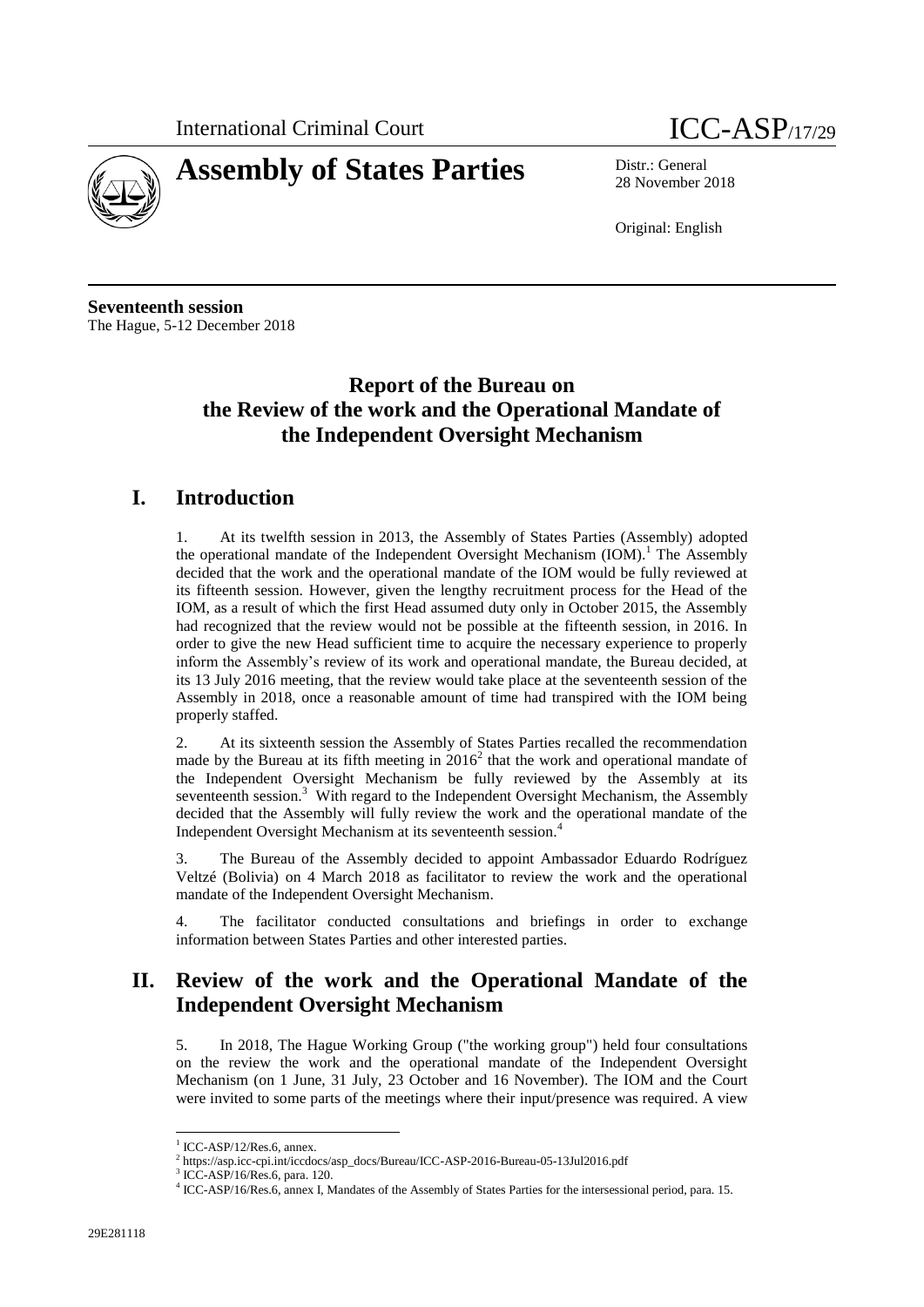



28 November 2018

Original: English

**Seventeenth session** The Hague, 5-12 December 2018

# **Report of the Bureau on the Review of the work and the Operational Mandate of the Independent Oversight Mechanism**

### **I. Introduction**

1. At its twelfth session in 2013, the Assembly of States Parties (Assembly) adopted the operational mandate of the Independent Oversight Mechanism  $(IOM)_1^1$ . The Assembly decided that the work and the operational mandate of the IOM would be fully reviewed at its fifteenth session. However, given the lengthy recruitment process for the Head of the IOM, as a result of which the first Head assumed duty only in October 2015, the Assembly had recognized that the review would not be possible at the fifteenth session, in 2016. In order to give the new Head sufficient time to acquire the necessary experience to properly inform the Assembly's review of its work and operational mandate, the Bureau decided, at its 13 July 2016 meeting, that the review would take place at the seventeenth session of the Assembly in 2018, once a reasonable amount of time had transpired with the IOM being properly staffed.

2. At its sixteenth session the Assembly of States Parties recalled the recommendation made by the Bureau at its fifth meeting in  $2016^2$  that the work and operational mandate of the Independent Oversight Mechanism be fully reviewed by the Assembly at its seventeenth session.<sup>3</sup> With regard to the Independent Oversight Mechanism, the Assembly decided that the Assembly will fully review the work and the operational mandate of the Independent Oversight Mechanism at its seventeenth session.<sup>4</sup>

3. The Bureau of the Assembly decided to appoint Ambassador Eduardo Rodríguez Veltzé (Bolivia) on 4 March 2018 as facilitator to review the work and the operational mandate of the Independent Oversight Mechanism.

4. The facilitator conducted consultations and briefings in order to exchange information between States Parties and other interested parties.

# **II. Review of the work and the Operational Mandate of the Independent Oversight Mechanism**

5. In 2018, The Hague Working Group ("the working group") held four consultations on the review the work and the operational mandate of the Independent Oversight Mechanism (on 1 June, 31 July, 23 October and 16 November). The IOM and the Court were invited to some parts of the meetings where their input/presence was required. A view

<sup>&</sup>lt;sup>1</sup> ICC-ASP/12/Res.6, annex.

 $^{2}$  [https://asp.icc-cpi.int/iccdocs/asp\\_docs/Bureau/ICC-ASP-2016-Bureau-05-13Jul2016.pdf](https://asp.icc-cpi.int/iccdocs/asp_docs/Bureau/ICC-ASP-2016-Bureau-05-13Jul2016.pdf)<br>3 ICC ASP/16/Pes 6, para 120

ICC-ASP/16/Res.6, para. 120.

<sup>4</sup> ICC-ASP/16/Res.6, annex I, Mandates of the Assembly of States Parties for the intersessional period, para. 15.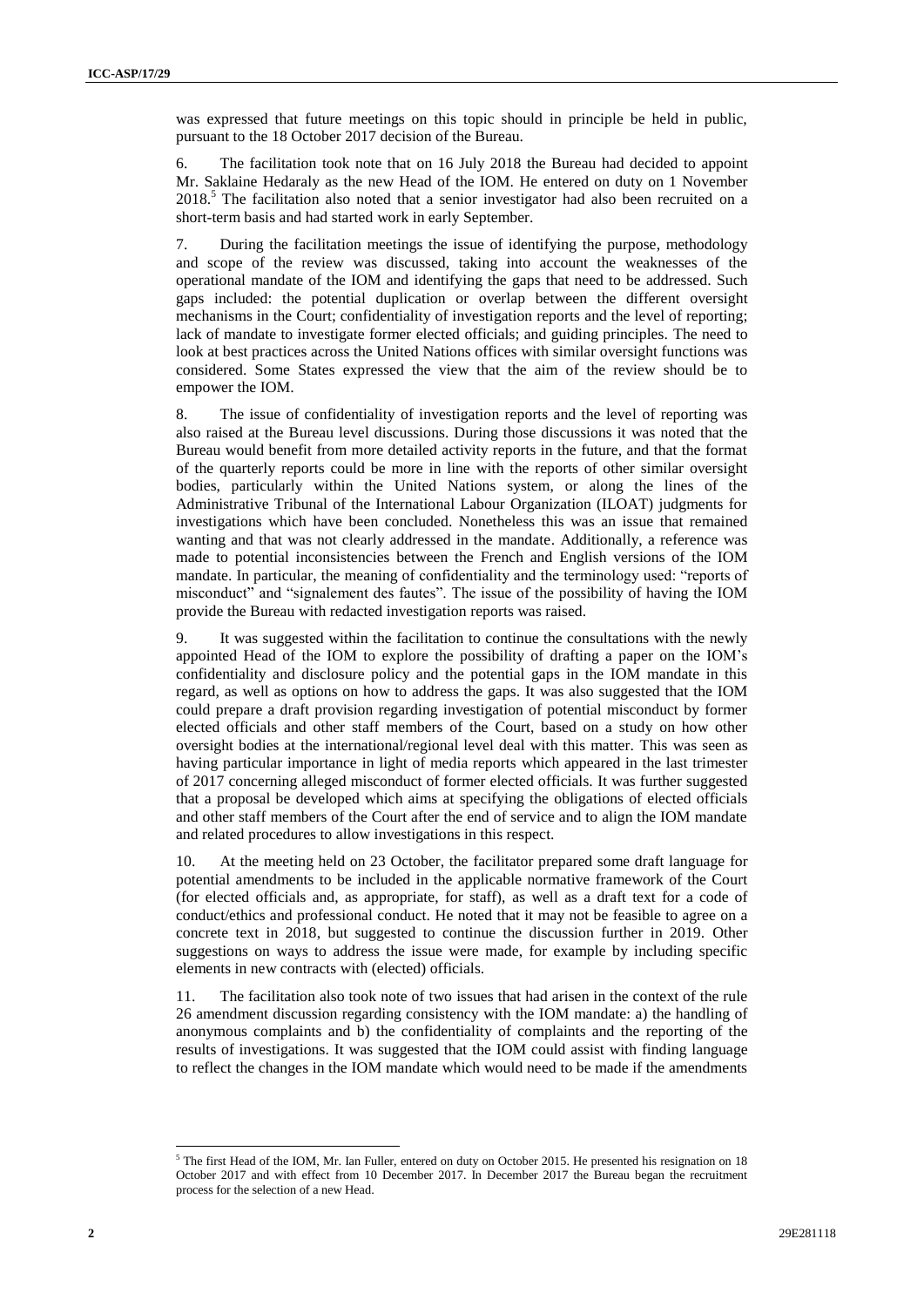was expressed that future meetings on this topic should in principle be held in public, pursuant to the 18 October 2017 decision of the Bureau.

6. The facilitation took note that on 16 July 2018 the Bureau had decided to appoint Mr. Saklaine Hedaraly as the new Head of the IOM. He entered on duty on 1 November  $2018<sup>5</sup>$ . The facilitation also noted that a senior investigator had also been recruited on a short-term basis and had started work in early September.

7. During the facilitation meetings the issue of identifying the purpose, methodology and scope of the review was discussed, taking into account the weaknesses of the operational mandate of the IOM and identifying the gaps that need to be addressed. Such gaps included: the potential duplication or overlap between the different oversight mechanisms in the Court; confidentiality of investigation reports and the level of reporting; lack of mandate to investigate former elected officials; and guiding principles. The need to look at best practices across the United Nations offices with similar oversight functions was considered. Some States expressed the view that the aim of the review should be to empower the IOM.

8. The issue of confidentiality of investigation reports and the level of reporting was also raised at the Bureau level discussions. During those discussions it was noted that the Bureau would benefit from more detailed activity reports in the future, and that the format of the quarterly reports could be more in line with the reports of other similar oversight bodies, particularly within the United Nations system, or along the lines of the Administrative Tribunal of the International Labour Organization (ILOAT) judgments for investigations which have been concluded. Nonetheless this was an issue that remained wanting and that was not clearly addressed in the mandate. Additionally, a reference was made to potential inconsistencies between the French and English versions of the IOM mandate. In particular, the meaning of confidentiality and the terminology used: "reports of misconduct" and "signalement des fautes". The issue of the possibility of having the IOM provide the Bureau with redacted investigation reports was raised.

9. It was suggested within the facilitation to continue the consultations with the newly appointed Head of the IOM to explore the possibility of drafting a paper on the IOM's confidentiality and disclosure policy and the potential gaps in the IOM mandate in this regard, as well as options on how to address the gaps. It was also suggested that the IOM could prepare a draft provision regarding investigation of potential misconduct by former elected officials and other staff members of the Court, based on a study on how other oversight bodies at the international/regional level deal with this matter. This was seen as having particular importance in light of media reports which appeared in the last trimester of 2017 concerning alleged misconduct of former elected officials. It was further suggested that a proposal be developed which aims at specifying the obligations of elected officials and other staff members of the Court after the end of service and to align the IOM mandate and related procedures to allow investigations in this respect.

At the meeting held on 23 October, the facilitator prepared some draft language for potential amendments to be included in the applicable normative framework of the Court (for elected officials and, as appropriate, for staff), as well as a draft text for a code of conduct/ethics and professional conduct. He noted that it may not be feasible to agree on a concrete text in 2018, but suggested to continue the discussion further in 2019. Other suggestions on ways to address the issue were made, for example by including specific elements in new contracts with (elected) officials.

11. The facilitation also took note of two issues that had arisen in the context of the rule 26 amendment discussion regarding consistency with the IOM mandate: a) the handling of anonymous complaints and b) the confidentiality of complaints and the reporting of the results of investigations. It was suggested that the IOM could assist with finding language to reflect the changes in the IOM mandate which would need to be made if the amendments

 $\overline{a}$  $5$  The first Head of the IOM, Mr. Ian Fuller, entered on duty on October 2015. He presented his resignation on 18 October 2017 and with effect from 10 December 2017. In December 2017 the Bureau began the recruitment process for the selection of a new Head.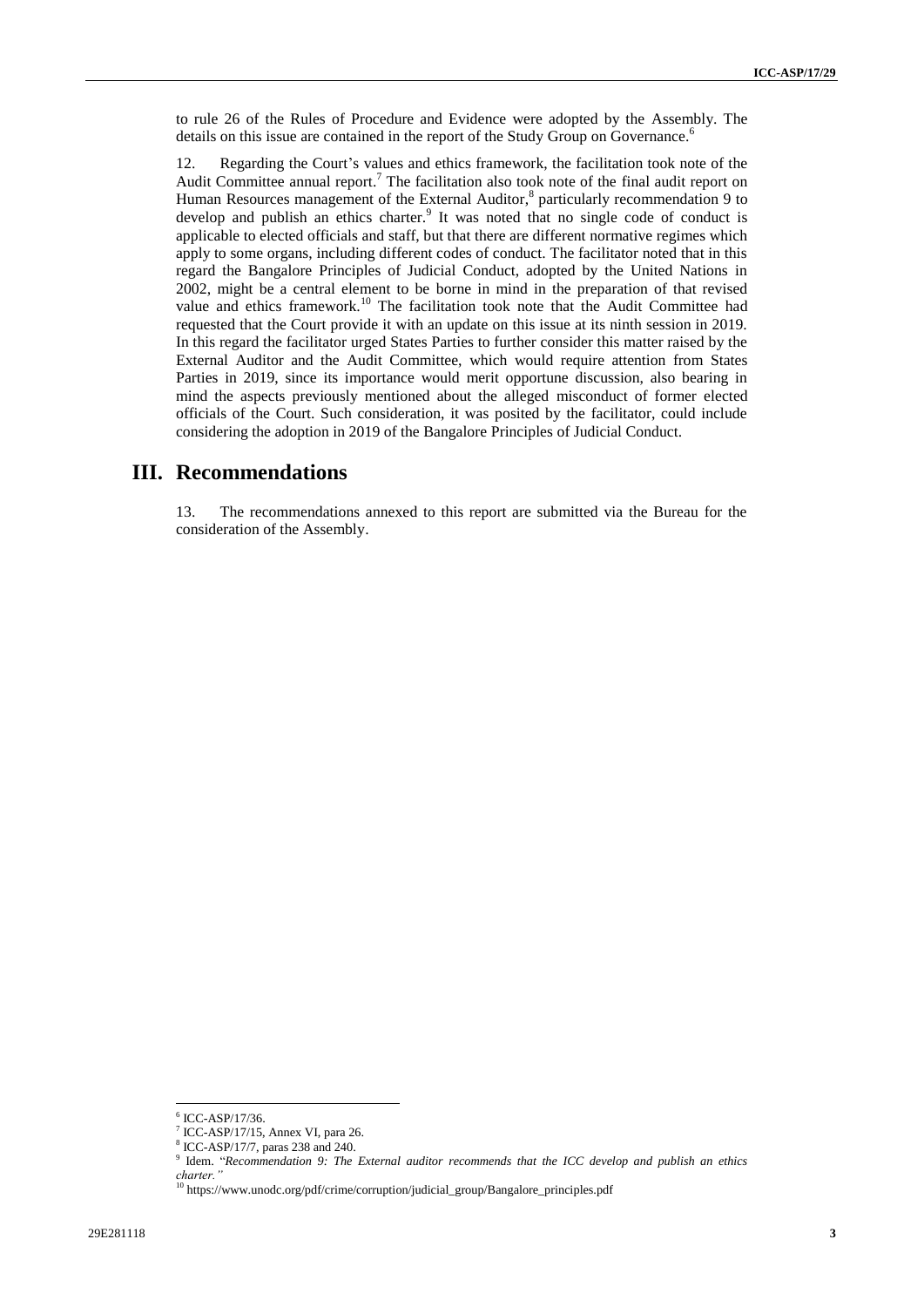to rule 26 of the Rules of Procedure and Evidence were adopted by the Assembly. The details on this issue are contained in the report of the Study Group on Governance.<sup>6</sup>

12. Regarding the Court's values and ethics framework, the facilitation took note of the Audit Committee annual report.<sup>7</sup> The facilitation also took note of the final audit report on Human Resources management of the External Auditor,<sup>8</sup> particularly recommendation 9 to develop and publish an ethics charter. It was noted that no single code of conduct is applicable to elected officials and staff, but that there are different normative regimes which apply to some organs, including different codes of conduct. The facilitator noted that in this regard the Bangalore Principles of Judicial Conduct, adopted by the United Nations in 2002, might be a central element to be borne in mind in the preparation of that revised value and ethics framework.<sup>10</sup> The facilitation took note that the Audit Committee had requested that the Court provide it with an update on this issue at its ninth session in 2019. In this regard the facilitator urged States Parties to further consider this matter raised by the External Auditor and the Audit Committee, which would require attention from States Parties in 2019, since its importance would merit opportune discussion, also bearing in mind the aspects previously mentioned about the alleged misconduct of former elected officials of the Court. Such consideration, it was posited by the facilitator, could include considering the adoption in 2019 of the Bangalore Principles of Judicial Conduct.

### **III. Recommendations**

13. The recommendations annexed to this report are submitted via the Bureau for the consideration of the Assembly.

<sup>6</sup> ICC-ASP/17/36.

 $7$  ICC-ASP/17/15, Annex VI, para 26.

<sup>8</sup> ICC-ASP/17/7, paras 238 and 240.

<sup>9</sup> Idem. "*Recommendation 9: The External auditor recommends that the ICC develop and publish an ethics charter."*

<sup>&</sup>lt;sup>10</sup> [https://www.unodc.org/pdf/crime/corruption/judicial\\_group/Bangalore\\_principles.pdf](https://www.unodc.org/pdf/crime/corruption/judicial_group/Bangalore_principles.pdf)